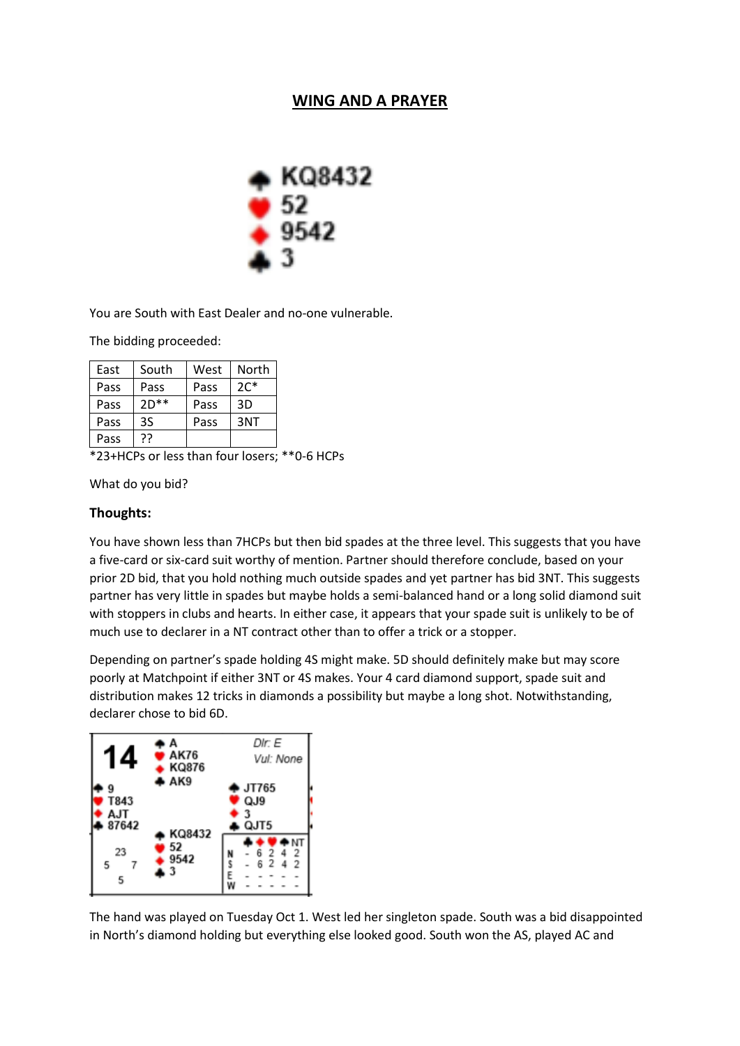## **WING AND A PRAYER**



You are South with East Dealer and no-one vulnerable.

The bidding proceeded:

| East | South  | West | North  |
|------|--------|------|--------|
| Pass | Pass   | Pass | $2C^*$ |
| Pass | $2D**$ | Pass | 3D     |
| Pass | 3S     | Pass | 3NT    |
| Pass | 77     |      |        |

\*23+HCPs or less than four losers; \*\*0-6 HCPs

What do you bid?

## **Thoughts:**

You have shown less than 7HCPs but then bid spades at the three level. This suggests that you have a five-card or six-card suit worthy of mention. Partner should therefore conclude, based on your prior 2D bid, that you hold nothing much outside spades and yet partner has bid 3NT. This suggests partner has very little in spades but maybe holds a semi-balanced hand or a long solid diamond suit with stoppers in clubs and hearts. In either case, it appears that your spade suit is unlikely to be of much use to declarer in a NT contract other than to offer a trick or a stopper.

Depending on partner's spade holding 4S might make. 5D should definitely make but may score poorly at Matchpoint if either 3NT or 4S makes. Your 4 card diamond support, spade suit and distribution makes 12 tricks in diamonds a possibility but maybe a long shot. Notwithstanding, declarer chose to bid 6D.



The hand was played on Tuesday Oct 1. West led her singleton spade. South was a bid disappointed in North's diamond holding but everything else looked good. South won the AS, played AC and